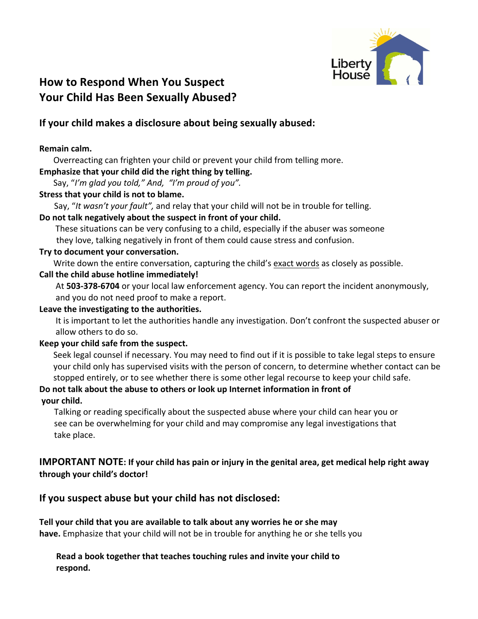

# Your Child Has Been Sexually Abused?

## **If your child makes a disclosure about being sexually abused:**

### **Remain calm.**

Overreacting can frighten your child or prevent your child from telling more.

#### Emphasize that your child did the right thing by telling.

Say, "I'm glad you told," And, "I'm proud of you".

#### **Stress that your child is not to blame.**

Say, "It wasn't your fault", and relay that your child will not be in trouble for telling.

## Do not talk negatively about the suspect in front of your child.

These situations can be very confusing to a child, especially if the abuser was someone they love, talking negatively in front of them could cause stress and confusion.

#### Try to document your conversation.

Write down the entire conversation, capturing the child's exact words as closely as possible.

#### Call the child abuse hotline immediately!

At 503-378-6704 or your local law enforcement agency. You can report the incident anonymously, and you do not need proof to make a report.

#### Leave the investigating to the authorities.

It is important to let the authorities handle any investigation. Don't confront the suspected abuser or allow others to do so.

## Keep your child safe from the suspect.

Seek legal counsel if necessary. You may need to find out if it is possible to take legal steps to ensure your child only has supervised visits with the person of concern, to determine whether contact can be stopped entirely, or to see whether there is some other legal recourse to keep your child safe.

## Do not talk about the abuse to others or look up Internet information in front of

## **your child.**

Talking or reading specifically about the suspected abuse where your child can hear you or see can be overwhelming for your child and may compromise any legal investigations that take place.

## **IMPORTANT NOTE:** If your child has pain or injury in the genital area, get medical help right away **through your child's doctor!**

## **If you suspect abuse but your child has not disclosed:**

**Tell your child that you are available to talk about any worries he or she may have.** Emphasize that your child will not be in trouble for anything he or she tells you

## **Read** a book together that teaches touching rules and invite your child to **respond.**